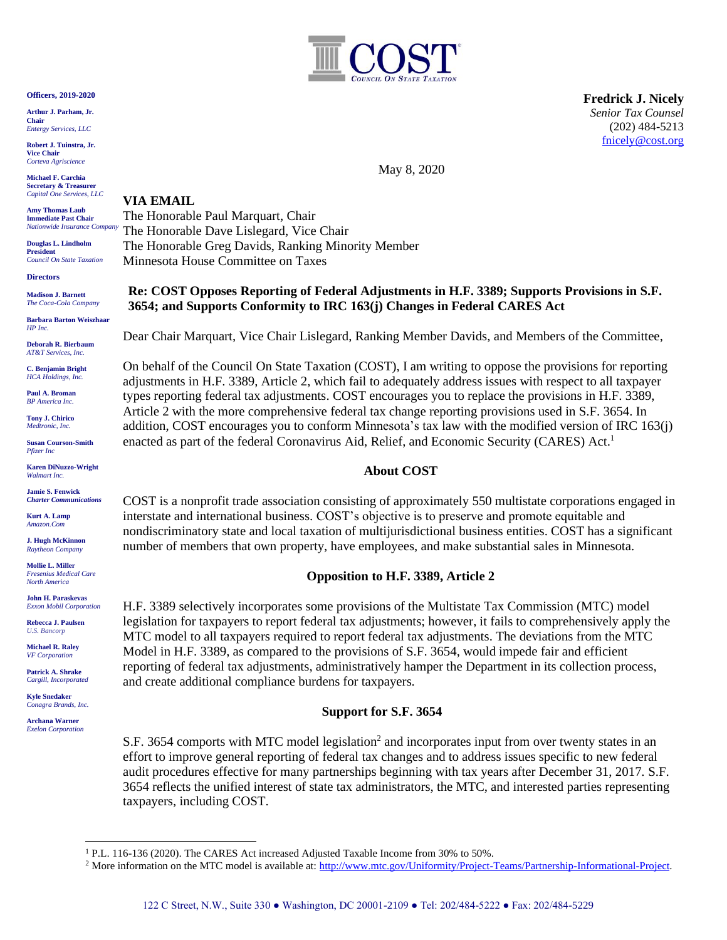

**Fredrick J. Nicely** *Senior Tax Counsel* (202) 484-5213 [fnicely@cost.org](mailto:fnicely@cost.org)

May 8, 2020

#### **Officers, 2019-2020**

**Arthur J. Parham, Jr. Chair** *Entergy Services, LLC*

**Robert J. Tuinstra, Jr. Vice Chair** *Corteva Agriscience*

**Michael F. Carchia Secretary & Treasurer** *Capital One Services, LLC*

**Amy Thomas Laub Immediate Past Chair**

*Nationwide Insurance Company* **Douglas L. Lindholm**

**President** *Council On State Taxation*

**Directors**

**Madison J. Barnett** *The Coca-Cola Company*

**Barbara Barton Weiszhaar** *HP Inc.*

**Deborah R. Bierbaum** *AT&T Services, Inc.*

**C. Benjamin Bright** *HCA Holdings, Inc.*

**Paul A. Broman** *BP America Inc.*

**Tony J. Chirico** *Medtronic, Inc.*

**Susan Courson-Smith** *Pfizer Inc*

**Karen DiNuzzo-Wright** *Walmart Inc.*

**Jamie S. Fenwick** *Charter Communications*

**Kurt A. Lamp**  *Amazon.Com*

**J. Hugh McKinnon** *Raytheon Company*

**Mollie L. Miller** *Fresenius Medical Care North America*

**John H. Paraskevas** *Exxon Mobil Corporation*

**Rebecca J. Paulsen** *U.S. Bancorp*

**Michael R. Raley** *VF Corporation*

**Patrick A. Shrake** *Cargill, Incorporated*

**Kyle Snedaker** *Conagra Brands, Inc.*

**Archana Warner** *Exelon Corporation*

# **VIA EMAIL**

The Honorable Paul Marquart, Chair The Honorable Dave Lislegard, Vice Chair The Honorable Greg Davids, Ranking Minority Member Minnesota House Committee on Taxes

# **Re: COST Opposes Reporting of Federal Adjustments in H.F. 3389; Supports Provisions in S.F. 3654; and Supports Conformity to IRC 163(j) Changes in Federal CARES Act**

Dear Chair Marquart, Vice Chair Lislegard, Ranking Member Davids, and Members of the Committee,

On behalf of the Council On State Taxation (COST), I am writing to oppose the provisions for reporting adjustments in H.F. 3389, Article 2, which fail to adequately address issues with respect to all taxpayer types reporting federal tax adjustments. COST encourages you to replace the provisions in H.F. 3389, Article 2 with the more comprehensive federal tax change reporting provisions used in S.F. 3654. In addition, COST encourages you to conform Minnesota's tax law with the modified version of IRC 163(j) enacted as part of the federal Coronavirus Aid, Relief, and Economic Security (CARES) Act.<sup>1</sup>

# **About COST**

COST is a nonprofit trade association consisting of approximately 550 multistate corporations engaged in interstate and international business. COST's objective is to preserve and promote equitable and nondiscriminatory state and local taxation of multijurisdictional business entities. COST has a significant number of members that own property, have employees, and make substantial sales in Minnesota.

# **Opposition to H.F. 3389, Article 2**

H.F. 3389 selectively incorporates some provisions of the Multistate Tax Commission (MTC) model legislation for taxpayers to report federal tax adjustments; however, it fails to comprehensively apply the MTC model to all taxpayers required to report federal tax adjustments. The deviations from the MTC Model in H.F. 3389, as compared to the provisions of S.F. 3654, would impede fair and efficient reporting of federal tax adjustments, administratively hamper the Department in its collection process, and create additional compliance burdens for taxpayers.

# **Support for S.F. 3654**

S.F. 3654 comports with MTC model legislation<sup>2</sup> and incorporates input from over twenty states in an effort to improve general reporting of federal tax changes and to address issues specific to new federal audit procedures effective for many partnerships beginning with tax years after December 31, 2017. S.F. 3654 reflects the unified interest of state tax administrators, the MTC, and interested parties representing taxpayers, including COST.

<sup>&</sup>lt;sup>1</sup> P.L. 116-136 (2020). The CARES Act increased Adjusted Taxable Income from 30% to 50%.

<sup>&</sup>lt;sup>2</sup> More information on the MTC model is available at: [http://www.mtc.gov/Uniformity/Project-Teams/Partnership-Informational-Project.](http://www.mtc.gov/Uniformity/Project-Teams/Partnership-Informational-Project)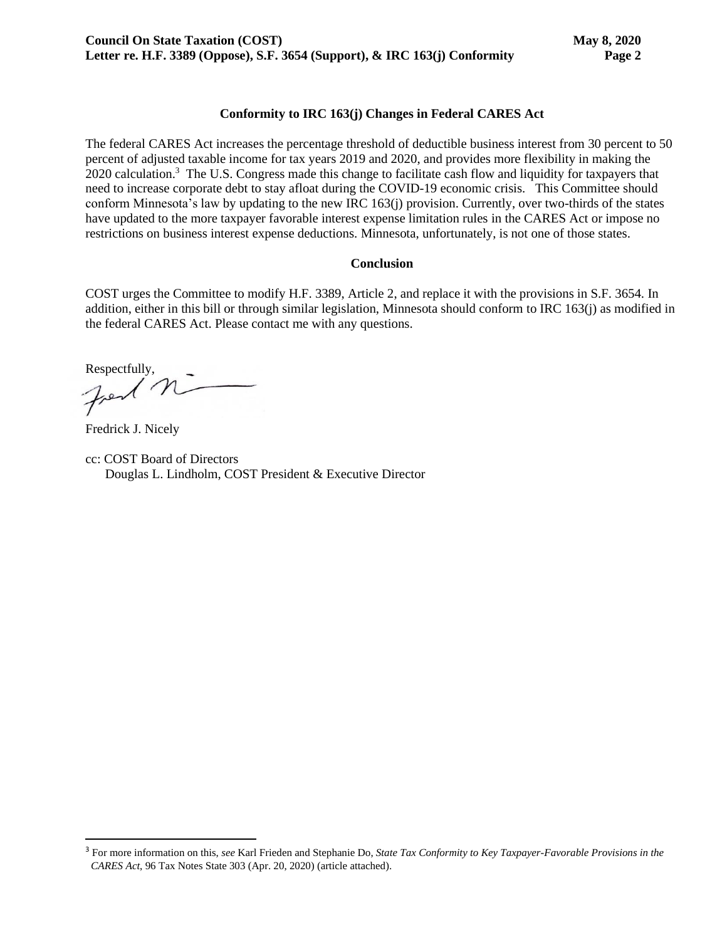# **Conformity to IRC 163(j) Changes in Federal CARES Act**

The federal CARES Act increases the percentage threshold of deductible business interest from 30 percent to 50 percent of adjusted taxable income for tax years 2019 and 2020, and provides more flexibility in making the 2020 calculation.<sup>3</sup> The U.S. Congress made this change to facilitate cash flow and liquidity for taxpayers that need to increase corporate debt to stay afloat during the COVID-19 economic crisis. This Committee should conform Minnesota's law by updating to the new IRC 163(j) provision. Currently, over two-thirds of the states have updated to the more taxpayer favorable interest expense limitation rules in the CARES Act or impose no restrictions on business interest expense deductions. Minnesota, unfortunately, is not one of those states.

### **Conclusion**

COST urges the Committee to modify H.F. 3389, Article 2, and replace it with the provisions in S.F. 3654. In addition, either in this bill or through similar legislation, Minnesota should conform to IRC 163(j) as modified in the federal CARES Act. Please contact me with any questions.

Respectfully,

Fredrick J. Nicely

cc: COST Board of Directors Douglas L. Lindholm, COST President & Executive Director

<sup>3</sup> For more information on this, *see* Karl Frieden and Stephanie Do, *State Tax Conformity to Key Taxpayer-Favorable Provisions in the CARES Act*, 96 Tax Notes State 303 (Apr. 20, 2020) (article attached).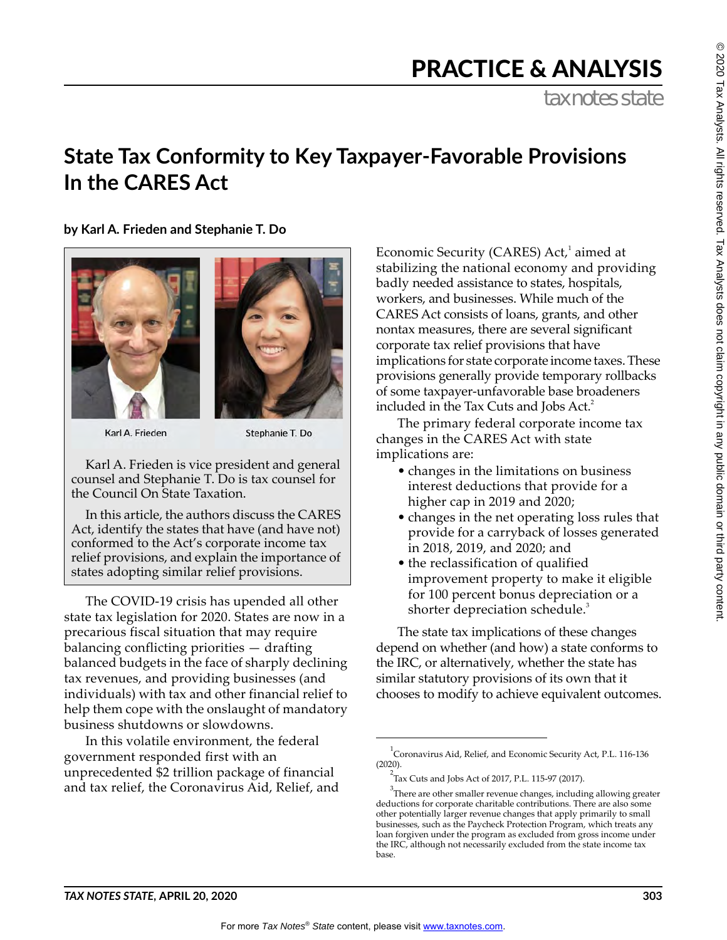# PRACTICE & ANALYSIS

tax notes state

# **State Tax Conformity to Key Taxpayer-Favorable Provisions In the CARES Act**

**by Karl A. Frieden and Stephanie T. Do**





Karl A. Frieden

Stephanie T. Do

Karl A. Frieden is vice president and general counsel and Stephanie T. Do is tax counsel for the Council On State Taxation.

In this article, the authors discuss the CARES Act, identify the states that have (and have not) conformed to the Act's corporate income tax relief provisions, and explain the importance of states adopting similar relief provisions.

The COVID-19 crisis has upended all other state tax legislation for 2020. States are now in a precarious fiscal situation that may require balancing conflicting priorities — drafting balanced budgets in the face of sharply declining tax revenues, and providing businesses (and individuals) with tax and other financial relief to help them cope with the onslaught of mandatory business shutdowns or slowdowns.

In this volatile environment, the federal government responded first with an unprecedented \$2 trillion package of financial and tax relief, the Coronavirus Aid, Relief, and

Economic Security (CARES) Act,<sup>1</sup> aimed at stabilizing the national economy and providing badly needed assistance to states, hospitals, workers, and businesses. While much of the CARES Act consists of loans, grants, and other nontax measures, there are several significant corporate tax relief provisions that have implications for state corporate income taxes. These provisions generally provide temporary rollbacks of some taxpayer-unfavorable base broadeners included in the Tax Cuts and Jobs Act.<sup>2</sup>

The primary federal corporate income tax changes in the CARES Act with state implications are:

- changes in the limitations on business interest deductions that provide for a higher cap in 2019 and 2020;
- changes in the net operating loss rules that provide for a carryback of losses generated in 2018, 2019, and 2020; and
- the reclassification of qualified improvement property to make it eligible for 100 percent bonus depreciation or a shorter depreciation schedule.<sup>3</sup>

The state tax implications of these changes depend on whether (and how) a state conforms to the IRC, or alternatively, whether the state has similar statutory provisions of its own that it chooses to modify to achieve equivalent outcomes.

 $^{1}$ Coronavirus Aid, Relief, and Economic Security Act, P.L. 116-136 (2020).

 $^{2}$ Tax Cuts and Jobs Act of 2017, P.L. 115-97 (2017).

 $3$ There are other smaller revenue changes, including allowing greater deductions for corporate charitable contributions. There are also some other potentially larger revenue changes that apply primarily to small businesses, such as the Paycheck Protection Program, which treats any loan forgiven under the program as excluded from gross income under the IRC, although not necessarily excluded from the state income tax base.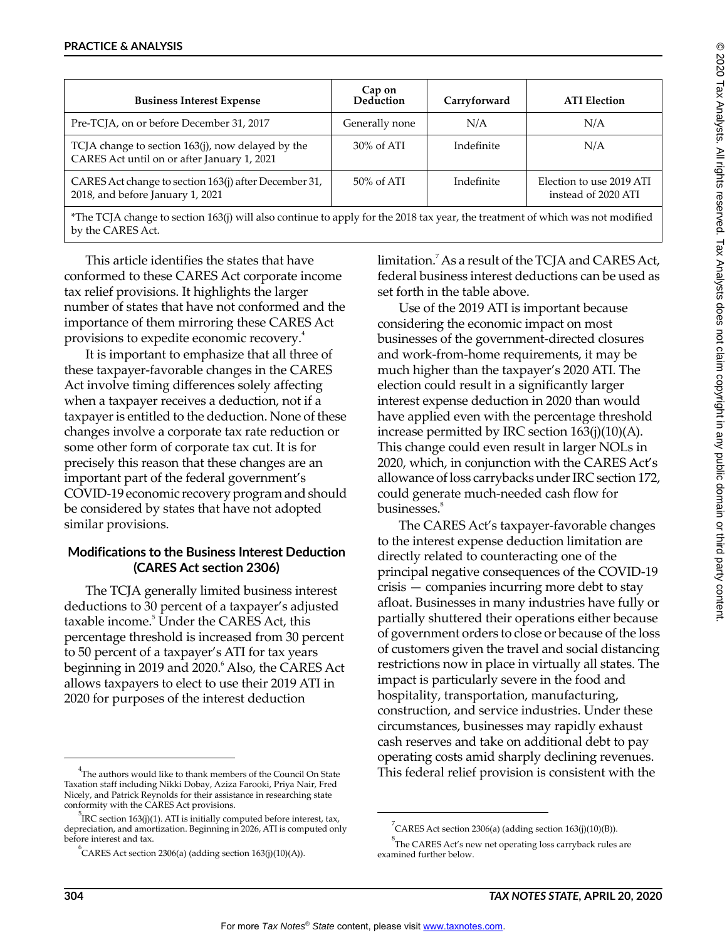| <b>Business Interest Expense</b>                                                                 | Cap on<br>Deduction | Carryforward | <b>ATI Election</b>                             |
|--------------------------------------------------------------------------------------------------|---------------------|--------------|-------------------------------------------------|
| Pre-TCJA, on or before December 31, 2017                                                         | Generally none      | N/A          | N/A                                             |
| TCJA change to section 163(j), now delayed by the<br>CARES Act until on or after January 1, 2021 | $30\%$ of ATI       | Indefinite   | N/A                                             |
| CARES Act change to section 163(j) after December 31,<br>2018, and before January 1, 2021        | $50\%$ of ATI       | Indefinite   | Election to use 2019 ATI<br>instead of 2020 ATI |

\*The TCJA change to section 163(j) will also continue to apply for the 2018 tax year, the treatment of which was not modified by the CARES Act.

This article identifies the states that have conformed to these CARES Act corporate income tax relief provisions. It highlights the larger number of states that have not conformed and the importance of them mirroring these CARES Act provisions to expedite economic recovery.<sup>4</sup>

It is important to emphasize that all three of these taxpayer-favorable changes in the CARES Act involve timing differences solely affecting when a taxpayer receives a deduction, not if a taxpayer is entitled to the deduction. None of these changes involve a corporate tax rate reduction or some other form of corporate tax cut. It is for precisely this reason that these changes are an important part of the federal government's COVID-19 economic recovery program and should be considered by states that have not adopted similar provisions.

# **Modifications to the Business Interest Deduction (CARES Act section 2306)**

The TCJA generally limited business interest deductions to 30 percent of a taxpayer's adjusted taxable income.<sup>5</sup> Under the CARES Act, this percentage threshold is increased from 30 percent to 50 percent of a taxpayer's ATI for tax years beginning in 2019 and 2020.<sup>6</sup> Also, the CARES Act allows taxpayers to elect to use their 2019 ATI in 2020 for purposes of the interest deduction

limitation.<sup>7</sup> As a result of the TCJA and CARES Act, federal business interest deductions can be used as set forth in the table above.

Use of the 2019 ATI is important because considering the economic impact on most businesses of the government-directed closures and work-from-home requirements, it may be much higher than the taxpayer's 2020 ATI. The election could result in a significantly larger interest expense deduction in 2020 than would have applied even with the percentage threshold increase permitted by IRC section 163(j)(10)(A). This change could even result in larger NOLs in 2020, which, in conjunction with the CARES Act's allowance of loss carrybacks under IRC section 172, could generate much-needed cash flow for businesses.<sup>8</sup>

The CARES Act's taxpayer-favorable changes to the interest expense deduction limitation are directly related to counteracting one of the principal negative consequences of the COVID-19 crisis — companies incurring more debt to stay afloat. Businesses in many industries have fully or partially shuttered their operations either because of government orders to close or because of the loss of customers given the travel and social distancing restrictions now in place in virtually all states. The impact is particularly severe in the food and hospitality, transportation, manufacturing, construction, and service industries. Under these circumstances, businesses may rapidly exhaust cash reserves and take on additional debt to pay operating costs amid sharply declining revenues. This federal relief provision is consistent with the

 $^{4}$ The authors would like to thank members of the Council On State Taxation staff including Nikki Dobay, Aziza Farooki, Priya Nair, Fred Nicely, and Patrick Reynolds for their assistance in researching state conformity with the CARES Act provisions.

 $^{5}$ IRC section 163(j)(1). ATI is initially computed before interest, tax, depreciation, and amortization. Beginning in 2026, ATI is computed only before interest and tax.

 $\rm ^{6}$ CARES Act section 2306(a) (adding section 163(j)(10)(A)).

 $\int^7$ CARES Act section 2306(a) (adding section 163(j)(10)(B)).

 $8^8$ The CARES Act's new net operating loss carryback rules are examined further below.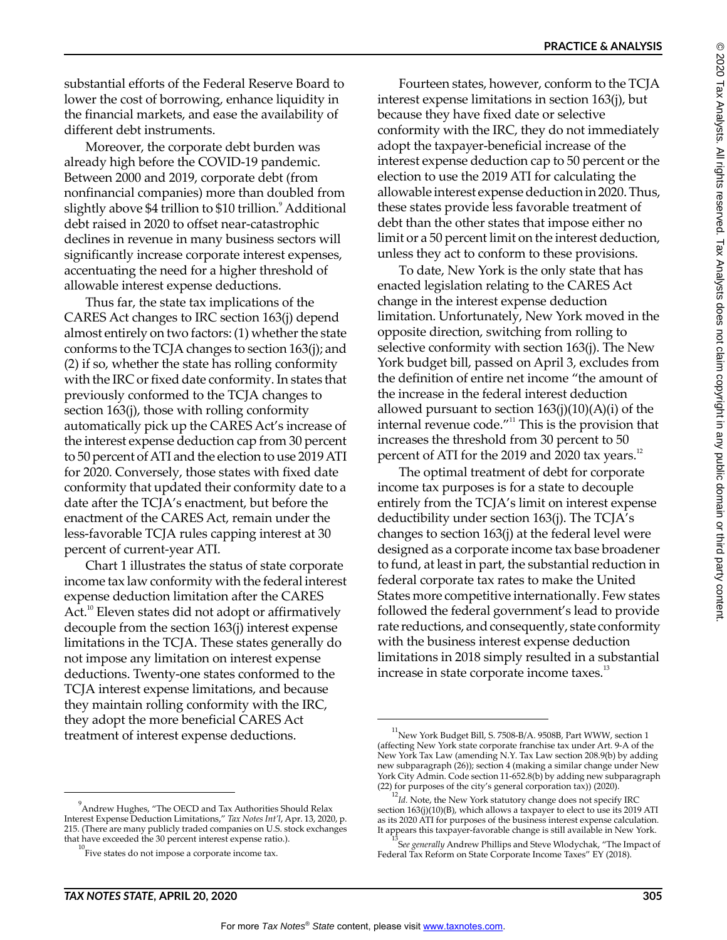substantial efforts of the Federal Reserve Board to lower the cost of borrowing, enhance liquidity in the financial markets, and ease the availability of different debt instruments.

Moreover, the corporate debt burden was already high before the COVID-19 pandemic. Between 2000 and 2019, corporate debt (from nonfinancial companies) more than doubled from slightly above \$4 trillion to \$10 trillion.<sup>9</sup> Additional debt raised in 2020 to offset near-catastrophic declines in revenue in many business sectors will significantly increase corporate interest expenses, accentuating the need for a higher threshold of allowable interest expense deductions.

Thus far, the state tax implications of the CARES Act changes to IRC section 163(j) depend almost entirely on two factors: (1) whether the state conforms to the TCJA changes to section 163(j); and (2) if so, whether the state has rolling conformity with the IRC or fixed date conformity. In states that previously conformed to the TCJA changes to section 163(j), those with rolling conformity automatically pick up the CARES Act's increase of the interest expense deduction cap from 30 percent to 50 percent of ATI and the election to use 2019 ATI for 2020. Conversely, those states with fixed date conformity that updated their conformity date to a date after the TCJA's enactment, but before the enactment of the CARES Act, remain under the less-favorable TCJA rules capping interest at 30 percent of current-year ATI.

Chart 1 illustrates the status of state corporate income tax law conformity with the federal interest expense deduction limitation after the CARES Act.<sup>10</sup> Eleven states did not adopt or affirmatively decouple from the section 163(j) interest expense limitations in the TCJA. These states generally do not impose any limitation on interest expense deductions. Twenty-one states conformed to the TCJA interest expense limitations, and because they maintain rolling conformity with the IRC, they adopt the more beneficial CARES Act treatment of interest expense deductions.

Fourteen states, however, conform to the TCJA interest expense limitations in section 163(j), but because they have fixed date or selective conformity with the IRC, they do not immediately adopt the taxpayer-beneficial increase of the interest expense deduction cap to 50 percent or the election to use the 2019 ATI for calculating the allowable interest expense deduction in 2020. Thus, these states provide less favorable treatment of debt than the other states that impose either no limit or a 50 percent limit on the interest deduction, unless they act to conform to these provisions.

To date, New York is the only state that has enacted legislation relating to the CARES Act change in the interest expense deduction limitation. Unfortunately, New York moved in the opposite direction, switching from rolling to selective conformity with section 163(j). The New York budget bill, passed on April 3, excludes from the definition of entire net income "the amount of the increase in the federal interest deduction allowed pursuant to section  $163(j)(10)(A)(i)$  of the internal revenue code."<sup>11</sup> This is the provision that increases the threshold from 30 percent to 50 percent of ATI for the 2019 and 2020 tax years. $12$ 

The optimal treatment of debt for corporate income tax purposes is for a state to decouple entirely from the TCJA's limit on interest expense deductibility under section 163(j). The TCJA's changes to section 163(j) at the federal level were designed as a corporate income tax base broadener to fund, at least in part, the substantial reduction in federal corporate tax rates to make the United States more competitive internationally. Few states followed the federal government's lead to provide rate reductions, and consequently, state conformity with the business interest expense deduction limitations in 2018 simply resulted in a substantial increase in state corporate income taxes.<sup>13</sup>

<sup>9</sup> Andrew Hughes, "The OECD and Tax Authorities Should Relax Interest Expense Deduction Limitations," *Tax Notes Int'l*, Apr. 13, 2020, p. 215. (There are many publicly traded companies on U.S. stock exchanges that have exceeded the 30 percent interest expense ratio.).

 $\mathrm{F}$ ive states do not impose a corporate income tax.

 $^{11}$ New York Budget Bill, S. 7508-B/A. 9508B, Part WWW, section 1 (affecting New York state corporate franchise tax under Art. 9-A of the New York Tax Law (amending N.Y. Tax Law section 208.9(b) by adding new subparagraph (26)); section 4 (making a similar change under New York City Admin. Code section 11-652.8(b) by adding new subparagraph (22) for purposes of the city's general corporation tax)) (2020).

 $^{12}$ *Id.* Note, the New York statutory change does not specify IRC section 163(j)(10)(B), which allows a taxpayer to elect to use its 2019 ATI as its 2020 ATI for purposes of the business interest expense calculation. It appears this taxpayer-favorable change is still available in New York.

<sup>&</sup>lt;sup>13</sup>See generally Andrew Phillips and Steve Wlodychak, "The Impact of Federal Tax Reform on State Corporate Income Taxes" EY (2018).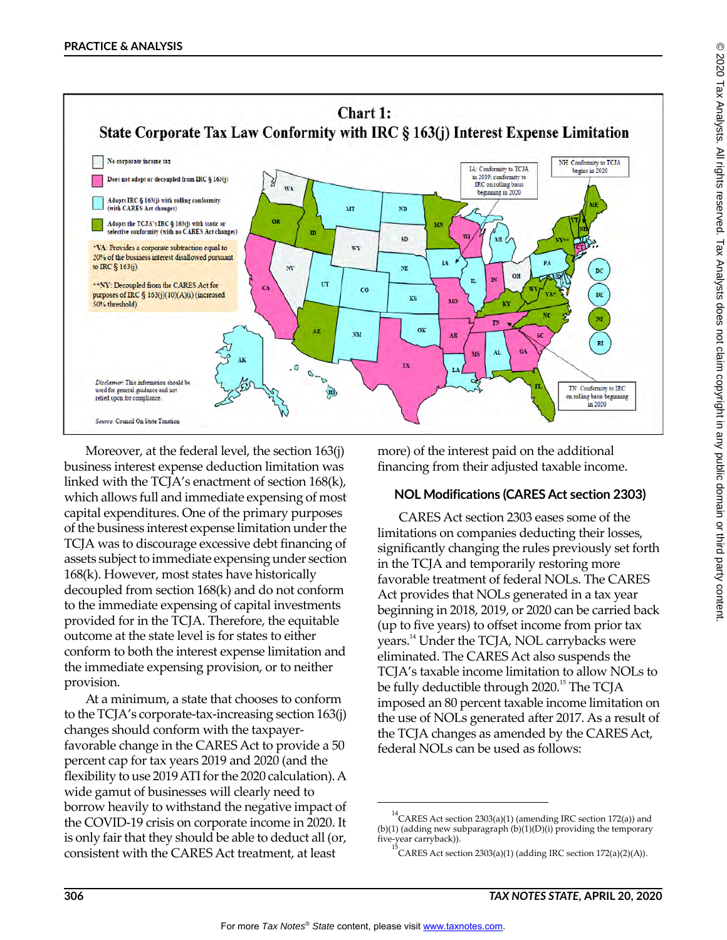

Moreover, at the federal level, the section 163(j) business interest expense deduction limitation was linked with the TCJA's enactment of section 168(k), which allows full and immediate expensing of most capital expenditures. One of the primary purposes of the business interest expense limitation under the TCJA was to discourage excessive debt financing of assets subject to immediate expensing under section 168(k). However, most states have historically decoupled from section 168(k) and do not conform to the immediate expensing of capital investments provided for in the TCJA. Therefore, the equitable outcome at the state level is for states to either conform to both the interest expense limitation and the immediate expensing provision, or to neither provision.

At a minimum, a state that chooses to conform to the TCJA's corporate-tax-increasing section 163(j) changes should conform with the taxpayerfavorable change in the CARES Act to provide a 50 percent cap for tax years 2019 and 2020 (and the flexibility to use 2019 ATI for the 2020 calculation). A wide gamut of businesses will clearly need to borrow heavily to withstand the negative impact of the COVID-19 crisis on corporate income in 2020. It is only fair that they should be able to deduct all (or, consistent with the CARES Act treatment, at least

more) of the interest paid on the additional financing from their adjusted taxable income.

# **NOL Modifications (CARES Act section 2303)**

CARES Act section 2303 eases some of the limitations on companies deducting their losses, significantly changing the rules previously set forth in the TCJA and temporarily restoring more favorable treatment of federal NOLs. The CARES Act provides that NOLs generated in a tax year beginning in 2018, 2019, or 2020 can be carried back (up to five years) to offset income from prior tax years.14 Under the TCJA, NOL carrybacks were eliminated. The CARES Act also suspends the TCJA's taxable income limitation to allow NOLs to be fully deductible through 2020.<sup>15</sup> The TCJA imposed an 80 percent taxable income limitation on the use of NOLs generated after 2017. As a result of the TCJA changes as amended by the CARES Act, federal NOLs can be used as follows:

<sup>14</sup> CARES Act section 2303(a)(1) (amending IRC section 172(a)) and (b)(1) (adding new subparagraph (b)(1)(D)(i) providing the temporary five-year carryback)).

CARES Act section  $2303(a)(1)$  (adding IRC section  $172(a)(2)(A)$ ).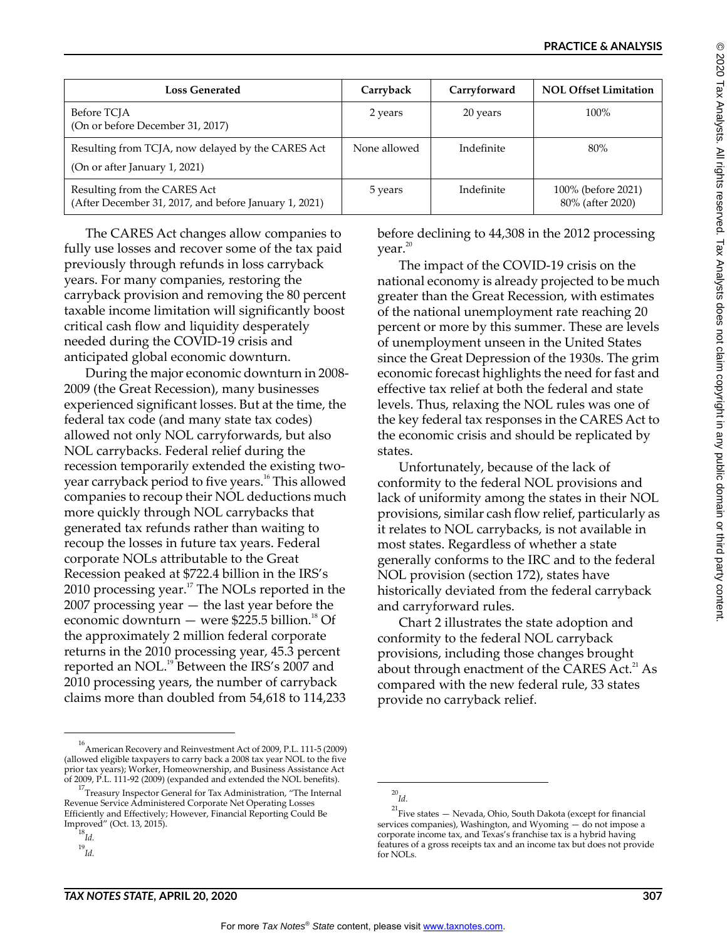| <b>Loss Generated</b>                                                                 | Carryback    | Carryforward | <b>NOL Offset Limitation</b>           |
|---------------------------------------------------------------------------------------|--------------|--------------|----------------------------------------|
| Before TCJA<br>(On or before December 31, 2017)                                       | 2 years      | 20 years     | $100\%$                                |
| Resulting from TCJA, now delayed by the CARES Act<br>(On or after January 1, 2021)    | None allowed | Indefinite   | 80%                                    |
| Resulting from the CARES Act<br>(After December 31, 2017, and before January 1, 2021) | 5 years      | Indefinite   | 100% (before 2021)<br>80% (after 2020) |

The CARES Act changes allow companies to fully use losses and recover some of the tax paid previously through refunds in loss carryback years. For many companies, restoring the carryback provision and removing the 80 percent taxable income limitation will significantly boost critical cash flow and liquidity desperately needed during the COVID-19 crisis and anticipated global economic downturn.

During the major economic downturn in 2008- 2009 (the Great Recession), many businesses experienced significant losses. But at the time, the federal tax code (and many state tax codes) allowed not only NOL carryforwards, but also NOL carrybacks. Federal relief during the recession temporarily extended the existing twoyear carryback period to five years.<sup>16</sup> This allowed companies to recoup their NOL deductions much more quickly through NOL carrybacks that generated tax refunds rather than waiting to recoup the losses in future tax years. Federal corporate NOLs attributable to the Great Recession peaked at \$722.4 billion in the IRS's 2010 processing year. $17$  The NOLs reported in the 2007 processing year — the last year before the economic downturn  $-$  were \$225.5 billion.<sup>18</sup> Of the approximately 2 million federal corporate returns in the 2010 processing year, 45.3 percent reported an NOL.<sup>19</sup> Between the IRS's 2007 and 2010 processing years, the number of carryback claims more than doubled from 54,618 to 114,233

before declining to 44,308 in the 2012 processing  $vear.<sup>20</sup>$ 

The impact of the COVID-19 crisis on the national economy is already projected to be much greater than the Great Recession, with estimates of the national unemployment rate reaching 20 percent or more by this summer. These are levels of unemployment unseen in the United States since the Great Depression of the 1930s. The grim economic forecast highlights the need for fast and effective tax relief at both the federal and state levels. Thus, relaxing the NOL rules was one of the key federal tax responses in the CARES Act to the economic crisis and should be replicated by states.

Unfortunately, because of the lack of conformity to the federal NOL provisions and lack of uniformity among the states in their NOL provisions, similar cash flow relief, particularly as it relates to NOL carrybacks, is not available in most states. Regardless of whether a state generally conforms to the IRC and to the federal NOL provision (section 172), states have historically deviated from the federal carryback and carryforward rules.

Chart 2 illustrates the state adoption and conformity to the federal NOL carryback provisions, including those changes brought about through enactment of the CARES Act.<sup>21</sup> As compared with the new federal rule, 33 states provide no carryback relief.

<sup>16</sup> American Recovery and Reinvestment Act of 2009, P.L. 111-5 (2009) (allowed eligible taxpayers to carry back a 2008 tax year NOL to the five prior tax years); Worker, Homeownership, and Business Assistance Act of 2009, P.L. 111-92 (2009) (expanded and extended the NOL benefits).

<sup>&</sup>lt;sup>17</sup>Treasury Inspector General for Tax Administration, "The Internal Revenue Service Administered Corporate Net Operating Losses Efficiently and Effectively; However, Financial Reporting Could Be Improved" (Oct. 13, 2015).

<sup>18</sup> *Id.*

<sup>19</sup>*Id.*

<sup>20</sup> *Id.*

<sup>&</sup>lt;sup>21</sup> Five states — Nevada, Ohio, South Dakota (except for financial services companies), Washington, and Wyoming  $-$  do not impose a corporate income tax, and Texas's franchise tax is a hybrid having features of a gross receipts tax and an income tax but does not provide for NOLs.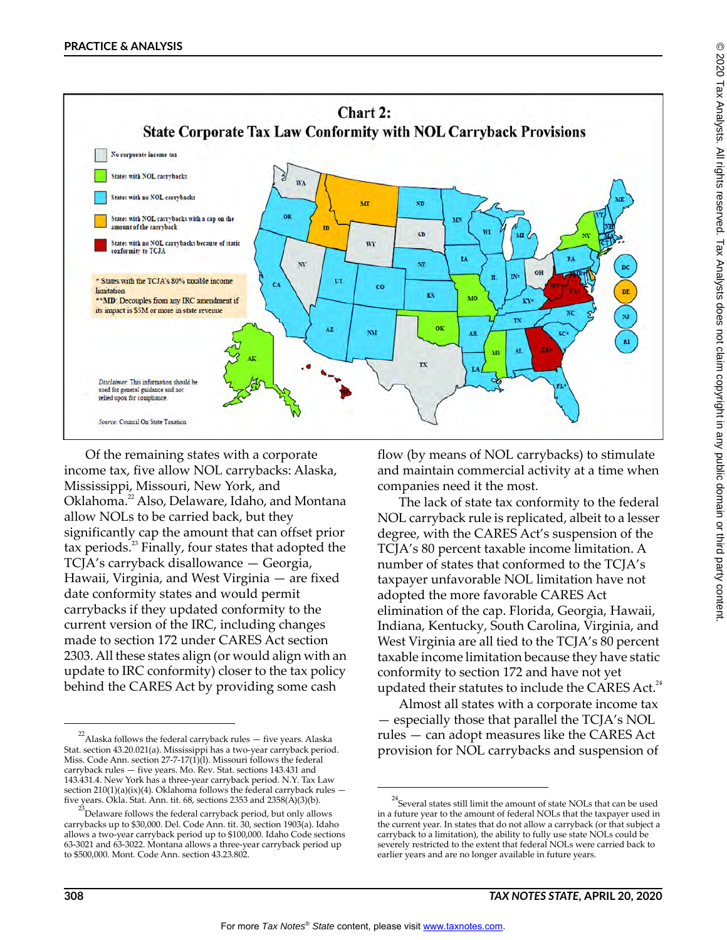

Of the remaining states with a corporate income tax, five allow NOL carrybacks: Alaska, Mississippi, Missouri, New York, and Oklahoma.<sup>22</sup> Also, Delaware, Idaho, and Montana allow NOLs to be carried back, but they significantly cap the amount that can offset prior tax periods. $^{23}$  Finally, four states that adopted the TCJA's carryback disallowance — Georgia, Hawaii, Virginia, and West Virginia — are fixed date conformity states and would permit carrybacks if they updated conformity to the current version of the IRC, including changes made to section 172 under CARES Act section 2303. All these states align (or would align with an update to IRC conformity) closer to the tax policy behind the CARES Act by providing some cash

flow (by means of NOL carrybacks) to stimulate and maintain commercial activity at a time when companies need it the most.

The lack of state tax conformity to the federal NOL carryback rule is replicated, albeit to a lesser degree, with the CARES Act's suspension of the TCJA's 80 percent taxable income limitation. A number of states that conformed to the TCJA's taxpayer unfavorable NOL limitation have not adopted the more favorable CARES Act elimination of the cap. Florida, Georgia, Hawaii, Indiana, Kentucky, South Carolina, Virginia, and West Virginia are all tied to the TCJA's 80 percent taxable income limitation because they have static conformity to section 172 and have not yet updated their statutes to include the CARES Act. $^{24}$ 

Almost all states with a corporate income tax — especially those that parallel the TCJA's NOL rules — can adopt measures like the CARES Act provision for NOL carrybacks and suspension of

 $^{22}$ Alaska follows the federal carryback rules  $-$  five years. Alaska Stat. section 43.20.021(a). Mississippi has a two-year carryback period. Miss. Code Ann. section  $27-7-17(1)(1)$ . Missouri follows the federal carryback rules — five years. Mo. Rev. Stat. sections 143.431 and 143.431.4. New York has a three-year carryback period. N.Y. Tax Law section 210(1)(a)(ix)(4). Oklahoma follows the federal carryback rules five years. Okla. Stat. Ann. tit. 68, sections 2353 and 2358( $\dot{A}$ )(3)(b).

 $^{23}$ Delaware follows the federal carryback period, but only allows carrybacks up to \$30,000. Del. Code Ann. tit. 30, section 1903(a). Idaho allows a two-year carryback period up to \$100,000. Idaho Code sections 63-3021 and 63-3022. Montana allows a three-year carryback period up to \$500,000. Mont. Code Ann. section 43.23.802.

 $^{24}$ Several states still limit the amount of state NOLs that can be used in a future year to the amount of federal NOLs that the taxpayer used in the current year. In states that do not allow a carryback (or that subject a carryback to a limitation), the ability to fully use state NOLs could be severely restricted to the extent that federal NOLs were carried back to earlier years and are no longer available in future years.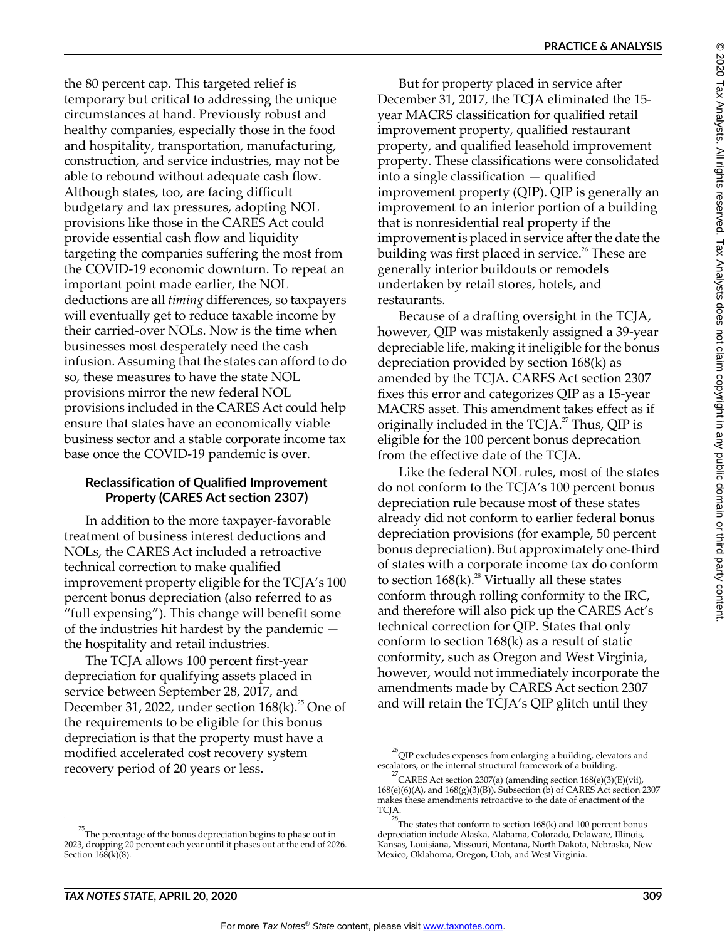**PRACTICE & ANALYSIS**

the 80 percent cap. This targeted relief is temporary but critical to addressing the unique circumstances at hand. Previously robust and healthy companies, especially those in the food and hospitality, transportation, manufacturing, construction, and service industries, may not be able to rebound without adequate cash flow. Although states, too, are facing difficult budgetary and tax pressures, adopting NOL provisions like those in the CARES Act could provide essential cash flow and liquidity targeting the companies suffering the most from the COVID-19 economic downturn. To repeat an important point made earlier, the NOL deductions are all *timing* differences, so taxpayers will eventually get to reduce taxable income by their carried-over NOLs. Now is the time when businesses most desperately need the cash infusion. Assuming that the states can afford to do so, these measures to have the state NOL provisions mirror the new federal NOL provisions included in the CARES Act could help ensure that states have an economically viable business sector and a stable corporate income tax base once the COVID-19 pandemic is over.

# **Reclassification of Qualified Improvement Property (CARES Act section 2307)**

In addition to the more taxpayer-favorable treatment of business interest deductions and NOLs, the CARES Act included a retroactive technical correction to make qualified improvement property eligible for the TCJA's 100 percent bonus depreciation (also referred to as "full expensing"). This change will benefit some of the industries hit hardest by the pandemic the hospitality and retail industries.

The TCJA allows 100 percent first-year depreciation for qualifying assets placed in service between September 28, 2017, and December 31, 2022, under section  $168(k)$ .<sup>25</sup> One of the requirements to be eligible for this bonus depreciation is that the property must have a modified accelerated cost recovery system recovery period of 20 years or less.

But for property placed in service after December 31, 2017, the TCJA eliminated the 15 year MACRS classification for qualified retail improvement property, qualified restaurant property, and qualified leasehold improvement property. These classifications were consolidated into a single classification — qualified improvement property (QIP). QIP is generally an improvement to an interior portion of a building that is nonresidential real property if the improvement is placed in service after the date the building was first placed in service.<sup>26</sup> These are generally interior buildouts or remodels undertaken by retail stores, hotels, and restaurants.

Because of a drafting oversight in the TCJA, however, QIP was mistakenly assigned a 39-year depreciable life, making it ineligible for the bonus depreciation provided by section 168(k) as amended by the TCJA. CARES Act section 2307 fixes this error and categorizes QIP as a 15-year MACRS asset. This amendment takes effect as if originally included in the TCJA. $^{27}$  Thus, QIP is eligible for the 100 percent bonus deprecation from the effective date of the TCJA.

Like the federal NOL rules, most of the states do not conform to the TCJA's 100 percent bonus depreciation rule because most of these states already did not conform to earlier federal bonus depreciation provisions (for example, 50 percent bonus depreciation). But approximately one-third of states with a corporate income tax do conform to section  $168(k)$ .<sup>28</sup> Virtually all these states conform through rolling conformity to the IRC, and therefore will also pick up the CARES Act's technical correction for QIP. States that only conform to section 168(k) as a result of static conformity, such as Oregon and West Virginia, however, would not immediately incorporate the amendments made by CARES Act section 2307 and will retain the TCJA's QIP glitch until they

 $^{25}$ The percentage of the bonus depreciation begins to phase out in 2023, dropping 20 percent each year until it phases out at the end of 2026. Section  $168(k)(8)$ .

 $^{26}$ QIP excludes expenses from enlarging a building, elevators and escalators, or the internal structural framework of a building.

<sup>&</sup>lt;sup>27</sup> CARES Act section 2307(a) (amending section  $168(e)(3)(E)(vi)$ , 168(e)(6)(A), and 168(g)(3)(B)). Subsection (b) of CARES Act section 2307 makes these amendments retroactive to the date of enactment of the TCJA.

 $^{28}$ The states that conform to section 168(k) and 100 percent bonus depreciation include Alaska, Alabama, Colorado, Delaware, Illinois, Kansas, Louisiana, Missouri, Montana, North Dakota, Nebraska, New Mexico, Oklahoma, Oregon, Utah, and West Virginia.